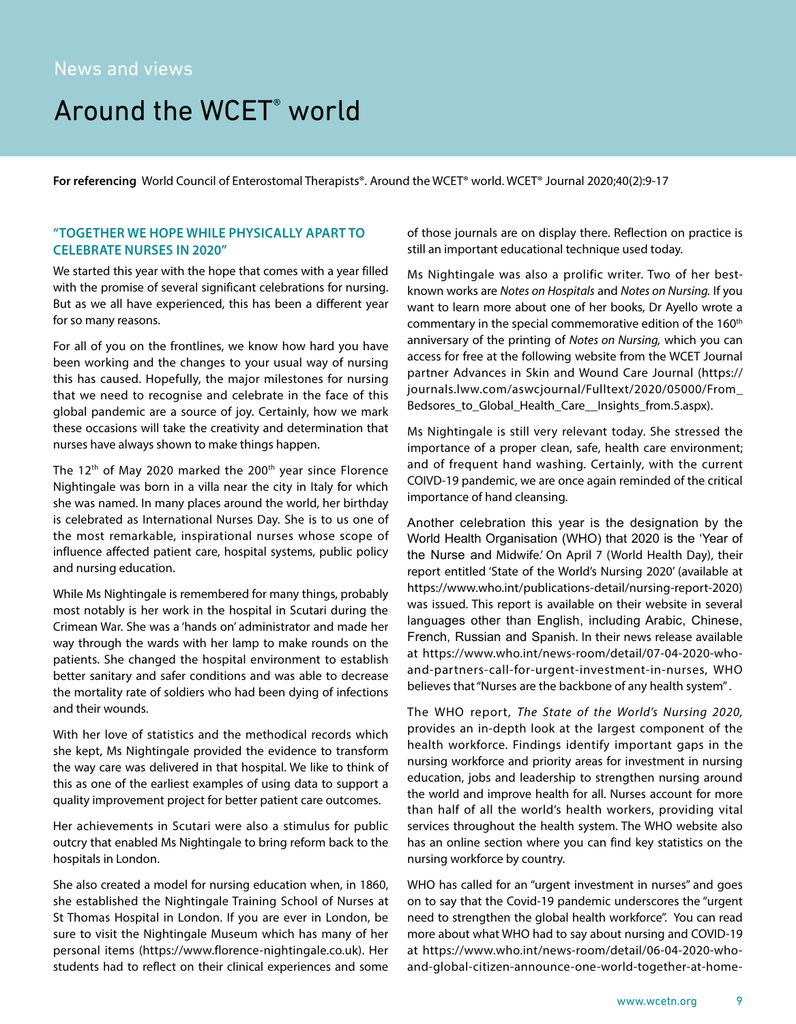# Around the WCET<sup>®</sup> world

**For referencing** World Council of Enterostomal Therapists®. Around the WCET® world. WCET® Journal 2020;40(2):9-17

# **"TOGETHER WE HOPE WHILE PHYSICALLY APART TO CELEBRATE NURSES IN 2020"**

We started this year with the hope that comes with a year filled with the promise of several significant celebrations for nursing. But as we all have experienced, this has been a different year for so many reasons.

For all of you on the frontlines, we know how hard you have been working and the changes to your usual way of nursing this has caused. Hopefully, the major milestones for nursing that we need to recognise and celebrate in the face of this global pandemic are a source of joy. Certainly, how we mark these occasions will take the creativity and determination that nurses have always shown to make things happen.

The  $12<sup>th</sup>$  of May 2020 marked the 200<sup>th</sup> year since Florence Nightingale was born in a villa near the city in Italy for which she was named. In many places around the world, her birthday is celebrated as International Nurses Day. She is to us one of the most remarkable, inspirational nurses whose scope of influence affected patient care, hospital systems, public policy and nursing education.

While Ms Nightingale is remembered for many things, probably most notably is her work in the hospital in Scutari during the Crimean War. She was a 'hands on' administrator and made her way through the wards with her lamp to make rounds on the patients. She changed the hospital environment to establish better sanitary and safer conditions and was able to decrease the mortality rate of soldiers who had been dying of infections and their wounds.

With her love of statistics and the methodical records which she kept, Ms Nightingale provided the evidence to transform the way care was delivered in that hospital. We like to think of this as one of the earliest examples of using data to support a quality improvement project for better patient care outcomes.

Her achievements in Scutari were also a stimulus for public outcry that enabled Ms Nightingale to bring reform back to the hospitals in London.

She also created a model for nursing education when, in 1860, she established the Nightingale Training School of Nurses at St Thomas Hospital in London. If you are ever in London, be sure to visit the Nightingale Museum which has many of her personal items (https://www.florence-nightingale.co.uk). Her students had to reflect on their clinical experiences and some of those journals are on display there. Reflection on practice is still an important educational technique used today.

Ms Nightingale was also a prolific writer. Two of her bestknown works are *Notes on Hospitals* and *Notes on Nursing.* If you want to learn more about one of her books, Dr Ayello wrote a commentary in the special commemorative edition of the 160<sup>th</sup> anniversary of the printing of *Notes on Nursing,* which you can access for free at the following website from the WCET Journal partner Advances in Skin and Wound Care Journal (https:// journals.lww.com/aswcjournal/Fulltext/2020/05000/From\_ Bedsores to Global Health Care Insights from.5.aspx).

Ms Nightingale is still very relevant today. She stressed the importance of a proper clean, safe, health care environment; and of frequent hand washing. Certainly, with the current COIVD-19 pandemic, we are once again reminded of the critical importance of hand cleansing.

Another celebration this year is the designation by the World Health Organisation (WHO) that 2020 is the 'Year of the Nurse and Midwife.' On April 7 (World Health Day), their report entitled 'State of the World's Nursing 2020' (available at https://www.who.int/publications-detail/nursing-report-2020) was issued. This report is available on their website in several languages other than English, including Arabic, Chinese, French, Russian and Spanish. In their news release available at https://www.who.int/news-room/detail/07-04-2020-whoand-partners-call-for-urgent-investment-in-nurses, WHO believes that "Nurses are the backbone of any health system" .

The WHO report, *The State of the World's Nursing 2020,*  provides an in-depth look at the largest component of the health workforce. Findings identify important gaps in the nursing workforce and priority areas for investment in nursing education, jobs and leadership to strengthen nursing around the world and improve health for all. Nurses account for more than half of all the world's health workers, providing vital services throughout the health system. The WHO website also has an online section where you can find key statistics on the nursing workforce by country.

WHO has called for an "urgent investment in nurses" and goes on to say that the Covid-19 pandemic underscores the "urgent need to strengthen the global health workforce". You can read more about what WHO had to say about nursing and COVID-19 at https://www.who.int/news-room/detail/06-04-2020-whoand-global-citizen-announce-one-world-together-at-home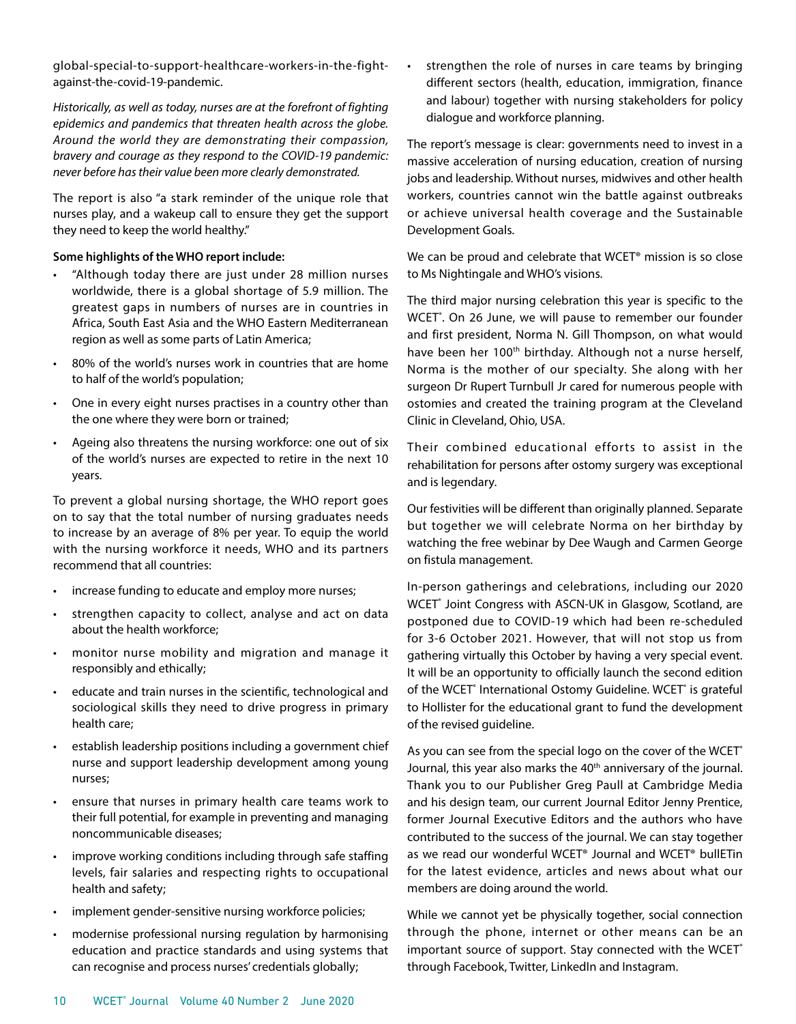global-special-to-support-healthcare-workers-in-the-fightagainst-the-covid-19-pandemic.

*Historically, as well as today, nurses are at the forefront of fighting epidemics and pandemics that threaten health across the globe. Around the world they are demonstrating their compassion, bravery and courage as they respond to the COVID-19 pandemic: never before has their value been more clearly demonstrated.*

The report is also "a stark reminder of the unique role that nurses play, and a wakeup call to ensure they get the support they need to keep the world healthy."

## **Some highlights of the WHO report include:**

- "Although today there are just under 28 million nurses worldwide, there is a global shortage of 5.9 million. The greatest gaps in numbers of nurses are in countries in Africa, South East Asia and the WHO Eastern Mediterranean region as well as some parts of Latin America;
- 80% of the world's nurses work in countries that are home to half of the world's population;
- One in every eight nurses practises in a country other than the one where they were born or trained;
- Ageing also threatens the nursing workforce: one out of six of the world's nurses are expected to retire in the next 10 years.

To prevent a global nursing shortage, the WHO report goes on to say that the total number of nursing graduates needs to increase by an average of 8% per year. To equip the world with the nursing workforce it needs, WHO and its partners recommend that all countries:

- increase funding to educate and employ more nurses;
- strengthen capacity to collect, analyse and act on data about the health workforce;
- monitor nurse mobility and migration and manage it responsibly and ethically;
- educate and train nurses in the scientific, technological and sociological skills they need to drive progress in primary health care;
- establish leadership positions including a government chief nurse and support leadership development among young nurses;
- ensure that nurses in primary health care teams work to their full potential, for example in preventing and managing noncommunicable diseases;
- improve working conditions including through safe staffing levels, fair salaries and respecting rights to occupational health and safety;
- implement gender-sensitive nursing workforce policies;
- modernise professional nursing regulation by harmonising education and practice standards and using systems that can recognise and process nurses' credentials globally;

strengthen the role of nurses in care teams by bringing different sectors (health, education, immigration, finance and labour) together with nursing stakeholders for policy dialogue and workforce planning.

The report's message is clear: governments need to invest in a massive acceleration of nursing education, creation of nursing jobs and leadership. Without nurses, midwives and other health workers, countries cannot win the battle against outbreaks or achieve universal health coverage and the Sustainable Development Goals.

We can be proud and celebrate that WCET<sup>®</sup> mission is so close to Ms Nightingale and WHO's visions.

The third major nursing celebration this year is specific to the WCET<sup>®</sup>. On 26 June, we will pause to remember our founder and first president, Norma N. Gill Thompson, on what would have been her 100<sup>th</sup> birthday. Although not a nurse herself, Norma is the mother of our specialty. She along with her surgeon Dr Rupert Turnbull Jr cared for numerous people with ostomies and created the training program at the Cleveland Clinic in Cleveland, Ohio, USA.

Their combined educational efforts to assist in the rehabilitation for persons after ostomy surgery was exceptional and is legendary.

Our festivities will be different than originally planned. Separate but together we will celebrate Norma on her birthday by watching the free webinar by Dee Waugh and Carmen George on fistula management.

In-person gatherings and celebrations, including our 2020 WCET<sup>®</sup> Joint Congress with ASCN-UK in Glasgow, Scotland, are postponed due to COVID-19 which had been re-scheduled for 3-6 October 2021. However, that will not stop us from gathering virtually this October by having a very special event. It will be an opportunity to officially launch the second edition of the WCET<sup>®</sup> International Ostomy Guideline. WCET<sup>®</sup> is grateful to Hollister for the educational grant to fund the development of the revised guideline.

As you can see from the special logo on the cover of the WCET<sup>®</sup> Journal, this year also marks the 40<sup>th</sup> anniversary of the journal. Thank you to our Publisher Greg Paull at Cambridge Media and his design team, our current Journal Editor Jenny Prentice, former Journal Executive Editors and the authors who have contributed to the success of the journal. We can stay together as we read our wonderful WCET® Journal and WCET® bullETin for the latest evidence, articles and news about what our members are doing around the world.

While we cannot yet be physically together, social connection through the phone, internet or other means can be an important source of support. Stay connected with the WCET<sup>®</sup> through Facebook, Twitter, LinkedIn and Instagram.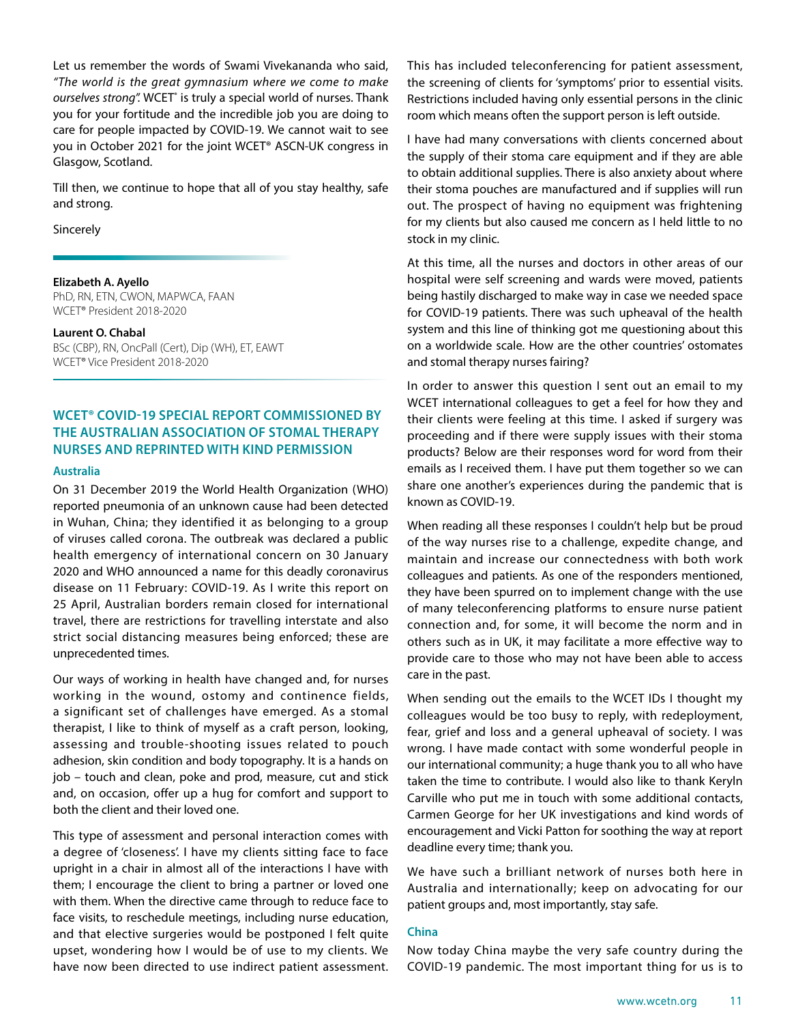Let us remember the words of Swami Vivekananda who said, *"The world is the great gymnasium where we come to make*  ourselves strong". WCET<sup>®</sup> is truly a special world of nurses. Thank you for your fortitude and the incredible job you are doing to care for people impacted by COVID-19. We cannot wait to see you in October 2021 for the joint WCET® ASCN-UK congress in Glasgow, Scotland.

Till then, we continue to hope that all of you stay healthy, safe and strong.

Sincerely

#### **Elizabeth A. Ayello**

PhD, RN, ETN, CWON, MAPWCA, FAAN WCET® President 2018-2020

#### **Laurent O. Chabal**

BSc (CBP), RN, OncPall (Cert), Dip (WH), ET, EAWT WCET® Vice President 2018-2020

# **WCET® COVID-19 SPECIAL REPORT COMMISSIONED BY THE AUSTRALIAN ASSOCIATION OF STOMAL THERAPY NURSES AND REPRINTED WITH KIND PERMISSION**

## **Australia**

On 31 December 2019 the World Health Organization (WHO) reported pneumonia of an unknown cause had been detected in Wuhan, China; they identified it as belonging to a group of viruses called corona. The outbreak was declared a public health emergency of international concern on 30 January 2020 and WHO announced a name for this deadly coronavirus disease on 11 February: COVID-19. As I write this report on 25 April, Australian borders remain closed for international travel, there are restrictions for travelling interstate and also strict social distancing measures being enforced; these are unprecedented times.

Our ways of working in health have changed and, for nurses working in the wound, ostomy and continence fields, a significant set of challenges have emerged. As a stomal therapist, I like to think of myself as a craft person, looking, assessing and trouble-shooting issues related to pouch adhesion, skin condition and body topography. It is a hands on job – touch and clean, poke and prod, measure, cut and stick and, on occasion, offer up a hug for comfort and support to both the client and their loved one.

This type of assessment and personal interaction comes with a degree of 'closeness'. I have my clients sitting face to face upright in a chair in almost all of the interactions I have with them; I encourage the client to bring a partner or loved one with them. When the directive came through to reduce face to face visits, to reschedule meetings, including nurse education, and that elective surgeries would be postponed I felt quite upset, wondering how I would be of use to my clients. We have now been directed to use indirect patient assessment.

This has included teleconferencing for patient assessment, the screening of clients for 'symptoms' prior to essential visits. Restrictions included having only essential persons in the clinic room which means often the support person is left outside.

I have had many conversations with clients concerned about the supply of their stoma care equipment and if they are able to obtain additional supplies. There is also anxiety about where their stoma pouches are manufactured and if supplies will run out. The prospect of having no equipment was frightening for my clients but also caused me concern as I held little to no stock in my clinic.

At this time, all the nurses and doctors in other areas of our hospital were self screening and wards were moved, patients being hastily discharged to make way in case we needed space for COVID-19 patients. There was such upheaval of the health system and this line of thinking got me questioning about this on a worldwide scale. How are the other countries' ostomates and stomal therapy nurses fairing?

In order to answer this question I sent out an email to my WCET international colleagues to get a feel for how they and their clients were feeling at this time. I asked if surgery was proceeding and if there were supply issues with their stoma products? Below are their responses word for word from their emails as I received them. I have put them together so we can share one another's experiences during the pandemic that is known as COVID-19.

When reading all these responses I couldn't help but be proud of the way nurses rise to a challenge, expedite change, and maintain and increase our connectedness with both work colleagues and patients. As one of the responders mentioned, they have been spurred on to implement change with the use of many teleconferencing platforms to ensure nurse patient connection and, for some, it will become the norm and in others such as in UK, it may facilitate a more effective way to provide care to those who may not have been able to access care in the past.

When sending out the emails to the WCET IDs I thought my colleagues would be too busy to reply, with redeployment, fear, grief and loss and a general upheaval of society. I was wrong. I have made contact with some wonderful people in our international community; a huge thank you to all who have taken the time to contribute. I would also like to thank Keryln Carville who put me in touch with some additional contacts, Carmen George for her UK investigations and kind words of encouragement and Vicki Patton for soothing the way at report deadline every time; thank you.

We have such a brilliant network of nurses both here in Australia and internationally; keep on advocating for our patient groups and, most importantly, stay safe.

#### **China**

Now today China maybe the very safe country during the COVID-19 pandemic. The most important thing for us is to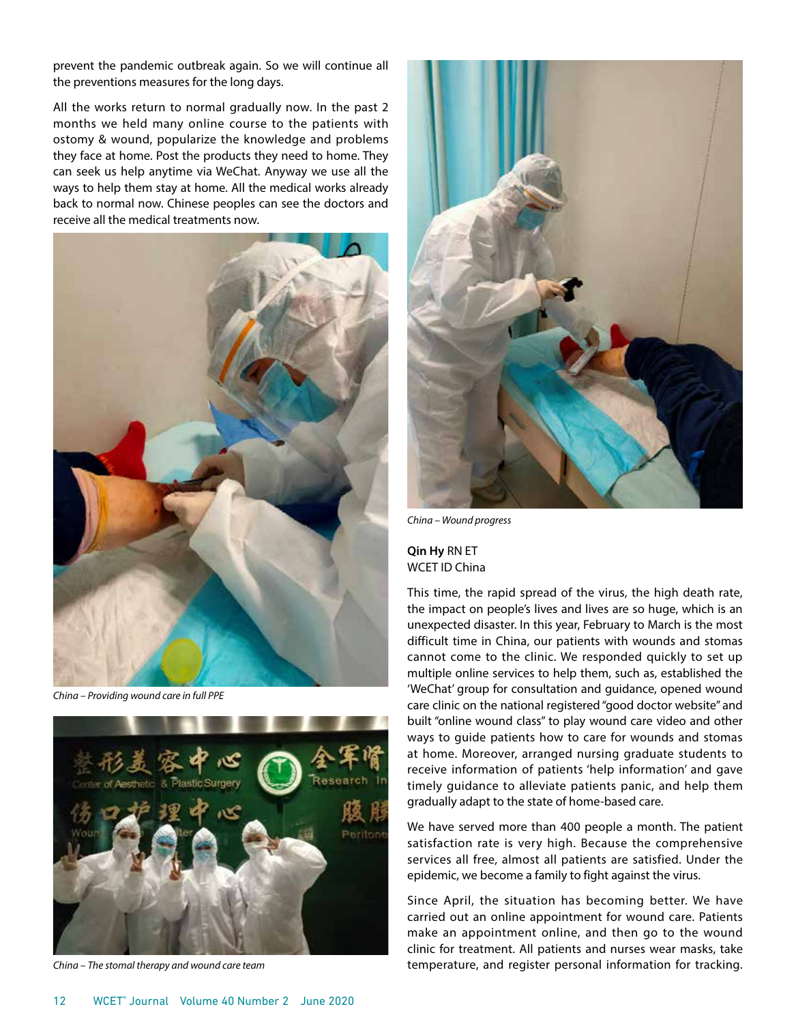prevent the pandemic outbreak again. So we will continue all the preventions measures for the long days.

All the works return to normal gradually now. In the past 2 months we held many online course to the patients with ostomy & wound, popularize the knowledge and problems they face at home. Post the products they need to home. They can seek us help anytime via WeChat. Anyway we use all the ways to help them stay at home. All the medical works already back to normal now. Chinese peoples can see the doctors and receive all the medical treatments now.



*China – Providing wound care in full PPE*



*China – The stomal therapy and wound care team*



*China – Wound progress*

## **Qin Hy** RN ET WCET ID China

This time, the rapid spread of the virus, the high death rate, the impact on people's lives and lives are so huge, which is an unexpected disaster. In this year, February to March is the most difficult time in China, our patients with wounds and stomas cannot come to the clinic. We responded quickly to set up multiple online services to help them, such as, established the 'WeChat' group for consultation and guidance, opened wound care clinic on the national registered "good doctor website" and built "online wound class" to play wound care video and other ways to guide patients how to care for wounds and stomas at home. Moreover, arranged nursing graduate students to receive information of patients 'help information' and gave timely guidance to alleviate patients panic, and help them gradually adapt to the state of home-based care.

We have served more than 400 people a month. The patient satisfaction rate is very high. Because the comprehensive services all free, almost all patients are satisfied. Under the epidemic, we become a family to fight against the virus.

Since April, the situation has becoming better. We have carried out an online appointment for wound care. Patients make an appointment online, and then go to the wound clinic for treatment. All patients and nurses wear masks, take temperature, and register personal information for tracking.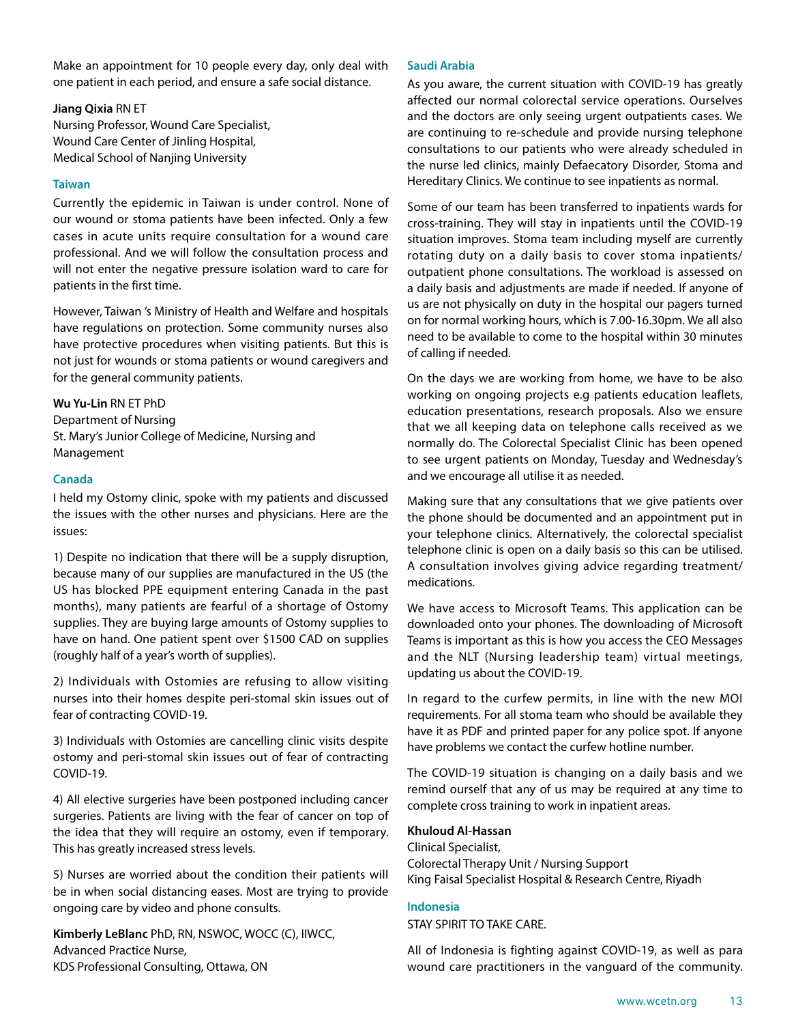Make an appointment for 10 people every day, only deal with one patient in each period, and ensure a safe social distance.

## **Jiang Qixia** RN ET

Nursing Professor, Wound Care Specialist, Wound Care Center of Jinling Hospital, Medical School of Nanjing University

## **Taiwan**

Currently the epidemic in Taiwan is under control. None of our wound or stoma patients have been infected. Only a few cases in acute units require consultation for a wound care professional. And we will follow the consultation process and will not enter the negative pressure isolation ward to care for patients in the first time.

However, Taiwan 's Ministry of Health and Welfare and hospitals have regulations on protection. Some community nurses also have protective procedures when visiting patients. But this is not just for wounds or stoma patients or wound caregivers and for the general community patients.

## **Wu Yu-Lin** RN ET PhD

Department of Nursing St. Mary's Junior College of Medicine, Nursing and Management

## **Canada**

I held my Ostomy clinic, spoke with my patients and discussed the issues with the other nurses and physicians. Here are the issues:

1) Despite no indication that there will be a supply disruption, because many of our supplies are manufactured in the US (the US has blocked PPE equipment entering Canada in the past months), many patients are fearful of a shortage of Ostomy supplies. They are buying large amounts of Ostomy supplies to have on hand. One patient spent over \$1500 CAD on supplies (roughly half of a year's worth of supplies).

2) Individuals with Ostomies are refusing to allow visiting nurses into their homes despite peri-stomal skin issues out of fear of contracting COVID-19.

3) Individuals with Ostomies are cancelling clinic visits despite ostomy and peri-stomal skin issues out of fear of contracting COVID-19.

4) All elective surgeries have been postponed including cancer surgeries. Patients are living with the fear of cancer on top of the idea that they will require an ostomy, even if temporary. This has greatly increased stress levels.

5) Nurses are worried about the condition their patients will be in when social distancing eases. Most are trying to provide ongoing care by video and phone consults.

**Kimberly LeBlanc** PhD, RN, NSWOC, WOCC (C), IIWCC, Advanced Practice Nurse, KDS Professional Consulting, Ottawa, ON

## **Saudi Arabia**

As you aware, the current situation with COVID-19 has greatly affected our normal colorectal service operations. Ourselves and the doctors are only seeing urgent outpatients cases. We are continuing to re-schedule and provide nursing telephone consultations to our patients who were already scheduled in the nurse led clinics, mainly Defaecatory Disorder, Stoma and Hereditary Clinics. We continue to see inpatients as normal.

Some of our team has been transferred to inpatients wards for cross-training. They will stay in inpatients until the COVID-19 situation improves. Stoma team including myself are currently rotating duty on a daily basis to cover stoma inpatients/ outpatient phone consultations. The workload is assessed on a daily basis and adjustments are made if needed. If anyone of us are not physically on duty in the hospital our pagers turned on for normal working hours, which is 7.00-16.30pm. We all also need to be available to come to the hospital within 30 minutes of calling if needed.

On the days we are working from home, we have to be also working on ongoing projects e.g patients education leaflets, education presentations, research proposals. Also we ensure that we all keeping data on telephone calls received as we normally do. The Colorectal Specialist Clinic has been opened to see urgent patients on Monday, Tuesday and Wednesday's and we encourage all utilise it as needed.

Making sure that any consultations that we give patients over the phone should be documented and an appointment put in your telephone clinics. Alternatively, the colorectal specialist telephone clinic is open on a daily basis so this can be utilised. A consultation involves giving advice regarding treatment/ medications.

We have access to Microsoft Teams. This application can be downloaded onto your phones. The downloading of Microsoft Teams is important as this is how you access the CEO Messages and the NLT (Nursing leadership team) virtual meetings, updating us about the COVID-19.

In regard to the curfew permits, in line with the new MOI requirements. For all stoma team who should be available they have it as PDF and printed paper for any police spot. If anyone have problems we contact the curfew hotline number.

The COVID-19 situation is changing on a daily basis and we remind ourself that any of us may be required at any time to complete cross training to work in inpatient areas.

## **Khuloud Al-Hassan**

Clinical Specialist, Colorectal Therapy Unit / Nursing Support King Faisal Specialist Hospital & Research Centre, Riyadh

#### **Indonesia**

STAY SPIRIT TO TAKE CARE.

All of Indonesia is fighting against COVID-19, as well as para wound care practitioners in the vanguard of the community.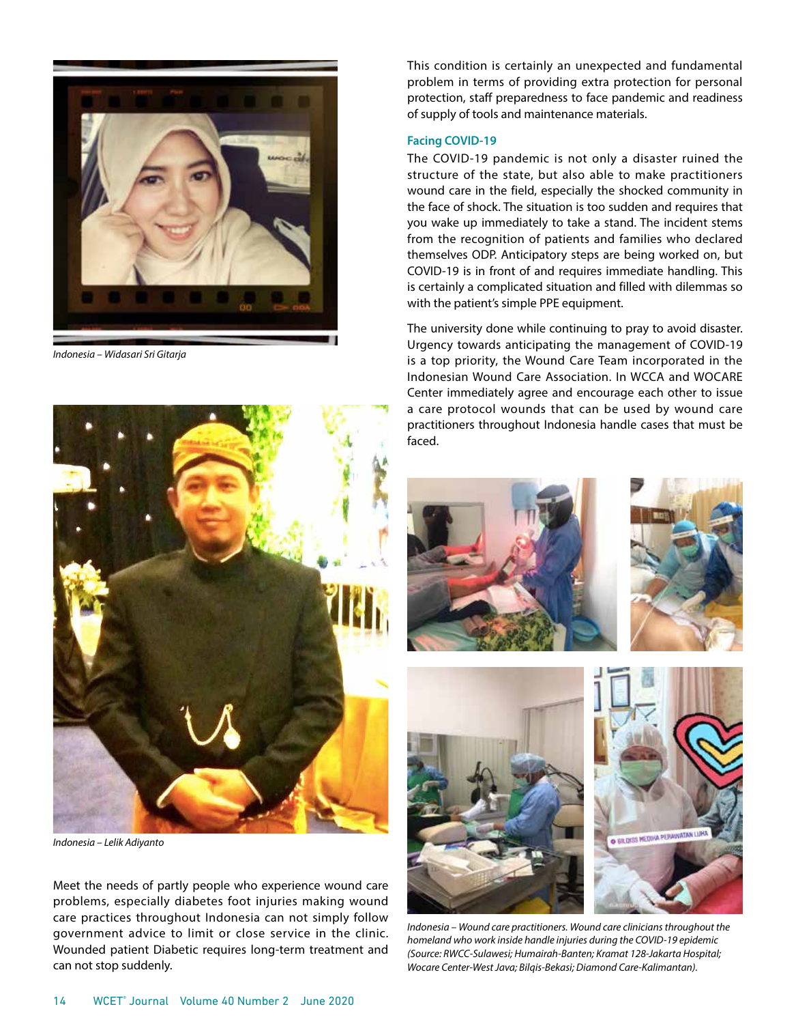

*Indonesia – Widasari Sri Gitarja*



*Indonesia – Lelik Adiyanto*

Meet the needs of partly people who experience wound care problems, especially diabetes foot injuries making wound care practices throughout Indonesia can not simply follow government advice to limit or close service in the clinic. Wounded patient Diabetic requires long-term treatment and can not stop suddenly.

This condition is certainly an unexpected and fundamental problem in terms of providing extra protection for personal protection, staff preparedness to face pandemic and readiness of supply of tools and maintenance materials.

#### **Facing COVID-19**

The COVID-19 pandemic is not only a disaster ruined the structure of the state, but also able to make practitioners wound care in the field, especially the shocked community in the face of shock. The situation is too sudden and requires that you wake up immediately to take a stand. The incident stems from the recognition of patients and families who declared themselves ODP. Anticipatory steps are being worked on, but COVID-19 is in front of and requires immediate handling. This is certainly a complicated situation and filled with dilemmas so with the patient's simple PPE equipment.

The university done while continuing to pray to avoid disaster. Urgency towards anticipating the management of COVID-19 is a top priority, the Wound Care Team incorporated in the Indonesian Wound Care Association. In WCCA and WOCARE Center immediately agree and encourage each other to issue a care protocol wounds that can be used by wound care practitioners throughout Indonesia handle cases that must be faced.



*Indonesia – Wound care practitioners. Wound care clinicians throughout the homeland who work inside handle injuries during the COVID-19 epidemic (Source: RWCC-Sulawesi; Humairah-Banten; Kramat 128-Jakarta Hospital; Wocare Center-West Java; Bilqis-Bekasi; Diamond Care-Kalimantan).*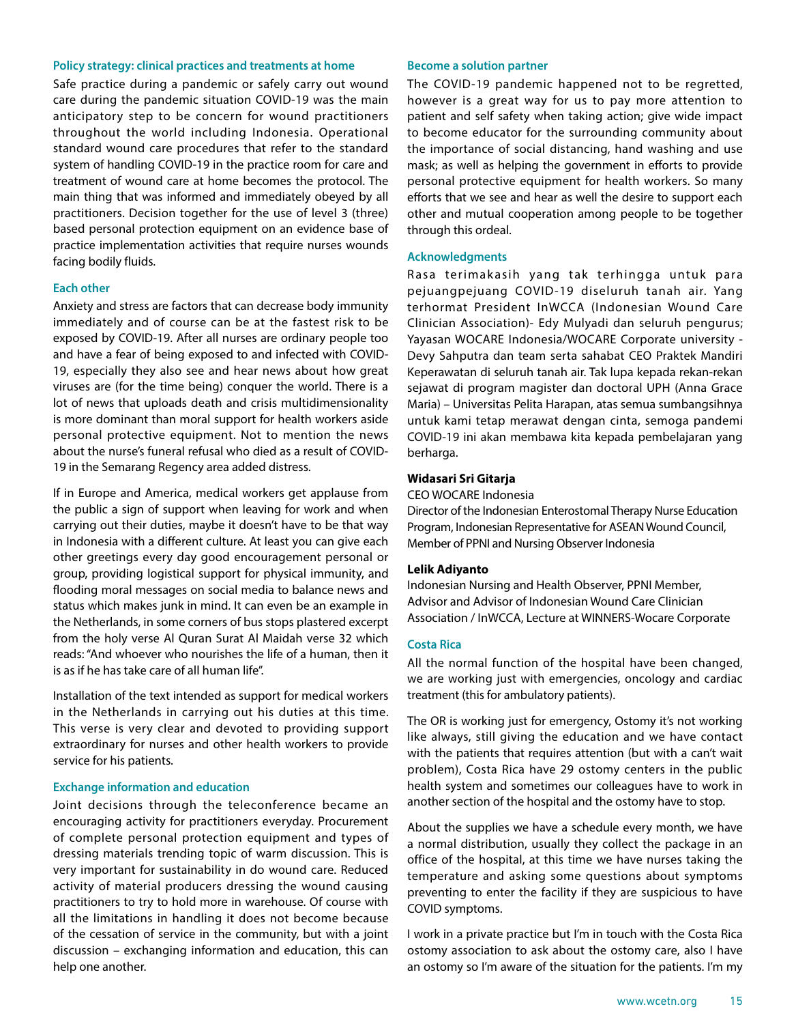## **Policy strategy: clinical practices and treatments at home**

Safe practice during a pandemic or safely carry out wound care during the pandemic situation COVID-19 was the main anticipatory step to be concern for wound practitioners throughout the world including Indonesia. Operational standard wound care procedures that refer to the standard system of handling COVID-19 in the practice room for care and treatment of wound care at home becomes the protocol. The main thing that was informed and immediately obeyed by all practitioners. Decision together for the use of level 3 (three) based personal protection equipment on an evidence base of practice implementation activities that require nurses wounds facing bodily fluids.

#### **Each other**

Anxiety and stress are factors that can decrease body immunity immediately and of course can be at the fastest risk to be exposed by COVID-19. After all nurses are ordinary people too and have a fear of being exposed to and infected with COVID-19, especially they also see and hear news about how great viruses are (for the time being) conquer the world. There is a lot of news that uploads death and crisis multidimensionality is more dominant than moral support for health workers aside personal protective equipment. Not to mention the news about the nurse's funeral refusal who died as a result of COVID-19 in the Semarang Regency area added distress.

If in Europe and America, medical workers get applause from the public a sign of support when leaving for work and when carrying out their duties, maybe it doesn't have to be that way in Indonesia with a different culture. At least you can give each other greetings every day good encouragement personal or group, providing logistical support for physical immunity, and flooding moral messages on social media to balance news and status which makes junk in mind. It can even be an example in the Netherlands, in some corners of bus stops plastered excerpt from the holy verse Al Quran Surat Al Maidah verse 32 which reads: "And whoever who nourishes the life of a human, then it is as if he has take care of all human life".

Installation of the text intended as support for medical workers in the Netherlands in carrying out his duties at this time. This verse is very clear and devoted to providing support extraordinary for nurses and other health workers to provide service for his patients.

#### **Exchange information and education**

Joint decisions through the teleconference became an encouraging activity for practitioners everyday. Procurement of complete personal protection equipment and types of dressing materials trending topic of warm discussion. This is very important for sustainability in do wound care. Reduced activity of material producers dressing the wound causing practitioners to try to hold more in warehouse. Of course with all the limitations in handling it does not become because of the cessation of service in the community, but with a joint discussion – exchanging information and education, this can help one another.

#### **Become a solution partner**

The COVID-19 pandemic happened not to be regretted, however is a great way for us to pay more attention to patient and self safety when taking action; give wide impact to become educator for the surrounding community about the importance of social distancing, hand washing and use mask; as well as helping the government in efforts to provide personal protective equipment for health workers. So many efforts that we see and hear as well the desire to support each other and mutual cooperation among people to be together through this ordeal.

#### **Acknowledgments**

Rasa terimakasih yang tak terhingga untuk para pejuangpejuang COVID-19 diseluruh tanah air. Yang terhormat President InWCCA (Indonesian Wound Care Clinician Association)- Edy Mulyadi dan seluruh pengurus; Yayasan WOCARE Indonesia/WOCARE Corporate university - Devy Sahputra dan team serta sahabat CEO Praktek Mandiri Keperawatan di seluruh tanah air. Tak lupa kepada rekan-rekan sejawat di program magister dan doctoral UPH (Anna Grace Maria) – Universitas Pelita Harapan, atas semua sumbangsihnya untuk kami tetap merawat dengan cinta, semoga pandemi COVID-19 ini akan membawa kita kepada pembelajaran yang berharga.

## **Widasari Sri Gitarja**

CEO WOCARE Indonesia

Director of the Indonesian Enterostomal Therapy Nurse Education Program, Indonesian Representative for ASEAN Wound Council, Member of PPNI and Nursing Observer Indonesia

#### **Lelik Adiyanto**

Indonesian Nursing and Health Observer, PPNI Member, Advisor and Advisor of Indonesian Wound Care Clinician Association / InWCCA, Lecture at WINNERS-Wocare Corporate

#### **Costa Rica**

All the normal function of the hospital have been changed, we are working just with emergencies, oncology and cardiac treatment (this for ambulatory patients).

The OR is working just for emergency, Ostomy it's not working like always, still giving the education and we have contact with the patients that requires attention (but with a can't wait problem), Costa Rica have 29 ostomy centers in the public health system and sometimes our colleagues have to work in another section of the hospital and the ostomy have to stop.

About the supplies we have a schedule every month, we have a normal distribution, usually they collect the package in an office of the hospital, at this time we have nurses taking the temperature and asking some questions about symptoms preventing to enter the facility if they are suspicious to have COVID symptoms.

I work in a private practice but I'm in touch with the Costa Rica ostomy association to ask about the ostomy care, also I have an ostomy so I'm aware of the situation for the patients. I'm my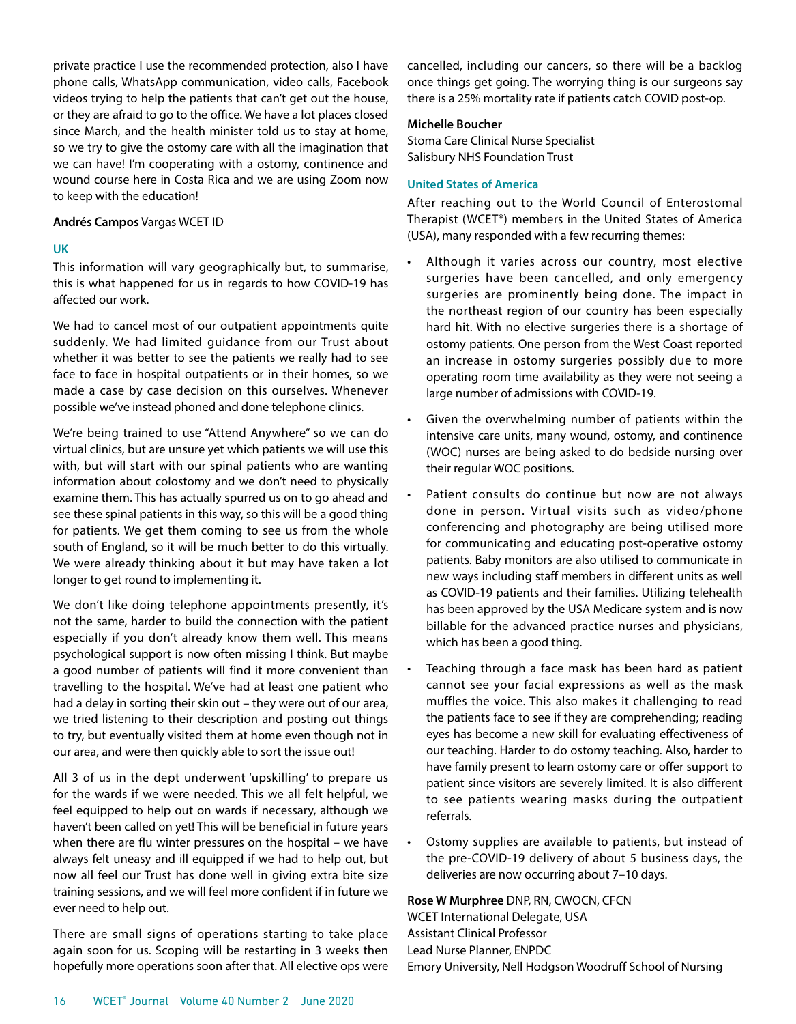private practice I use the recommended protection, also I have phone calls, WhatsApp communication, video calls, Facebook videos trying to help the patients that can't get out the house, or they are afraid to go to the office. We have a lot places closed since March, and the health minister told us to stay at home, so we try to give the ostomy care with all the imagination that we can have! I'm cooperating with a ostomy, continence and wound course here in Costa Rica and we are using Zoom now to keep with the education!

#### **Andrés Campos** Vargas WCET ID

## **UK**

This information will vary geographically but, to summarise, this is what happened for us in regards to how COVID-19 has affected our work.

We had to cancel most of our outpatient appointments quite suddenly. We had limited guidance from our Trust about whether it was better to see the patients we really had to see face to face in hospital outpatients or in their homes, so we made a case by case decision on this ourselves. Whenever possible we've instead phoned and done telephone clinics.

We're being trained to use "Attend Anywhere" so we can do virtual clinics, but are unsure yet which patients we will use this with, but will start with our spinal patients who are wanting information about colostomy and we don't need to physically examine them. This has actually spurred us on to go ahead and see these spinal patients in this way, so this will be a good thing for patients. We get them coming to see us from the whole south of England, so it will be much better to do this virtually. We were already thinking about it but may have taken a lot longer to get round to implementing it.

We don't like doing telephone appointments presently, it's not the same, harder to build the connection with the patient especially if you don't already know them well. This means psychological support is now often missing I think. But maybe a good number of patients will find it more convenient than travelling to the hospital. We've had at least one patient who had a delay in sorting their skin out – they were out of our area, we tried listening to their description and posting out things to try, but eventually visited them at home even though not in our area, and were then quickly able to sort the issue out!

All 3 of us in the dept underwent 'upskilling' to prepare us for the wards if we were needed. This we all felt helpful, we feel equipped to help out on wards if necessary, although we haven't been called on yet! This will be beneficial in future years when there are flu winter pressures on the hospital – we have always felt uneasy and ill equipped if we had to help out, but now all feel our Trust has done well in giving extra bite size training sessions, and we will feel more confident if in future we ever need to help out.

There are small signs of operations starting to take place again soon for us. Scoping will be restarting in 3 weeks then hopefully more operations soon after that. All elective ops were cancelled, including our cancers, so there will be a backlog once things get going. The worrying thing is our surgeons say there is a 25% mortality rate if patients catch COVID post-op.

## **Michelle Boucher**

Stoma Care Clinical Nurse Specialist Salisbury NHS Foundation Trust

## **United States of America**

After reaching out to the World Council of Enterostomal Therapist (WCET®) members in the United States of America (USA), many responded with a few recurring themes:

- Although it varies across our country, most elective surgeries have been cancelled, and only emergency surgeries are prominently being done. The impact in the northeast region of our country has been especially hard hit. With no elective surgeries there is a shortage of ostomy patients. One person from the West Coast reported an increase in ostomy surgeries possibly due to more operating room time availability as they were not seeing a large number of admissions with COVID-19.
- Given the overwhelming number of patients within the intensive care units, many wound, ostomy, and continence (WOC) nurses are being asked to do bedside nursing over their regular WOC positions.
- Patient consults do continue but now are not always done in person. Virtual visits such as video/phone conferencing and photography are being utilised more for communicating and educating post-operative ostomy patients. Baby monitors are also utilised to communicate in new ways including staff members in different units as well as COVID-19 patients and their families. Utilizing telehealth has been approved by the USA Medicare system and is now billable for the advanced practice nurses and physicians, which has been a good thing.
- Teaching through a face mask has been hard as patient cannot see your facial expressions as well as the mask muffles the voice. This also makes it challenging to read the patients face to see if they are comprehending; reading eyes has become a new skill for evaluating effectiveness of our teaching. Harder to do ostomy teaching. Also, harder to have family present to learn ostomy care or offer support to patient since visitors are severely limited. It is also different to see patients wearing masks during the outpatient referrals.
- Ostomy supplies are available to patients, but instead of the pre-COVID-19 delivery of about 5 business days, the deliveries are now occurring about 7–10 days.

**Rose W Murphree** DNP, RN, CWOCN, CFCN WCET International Delegate, USA Assistant Clinical Professor Lead Nurse Planner, ENPDC

Emory University, Nell Hodgson Woodruff School of Nursing